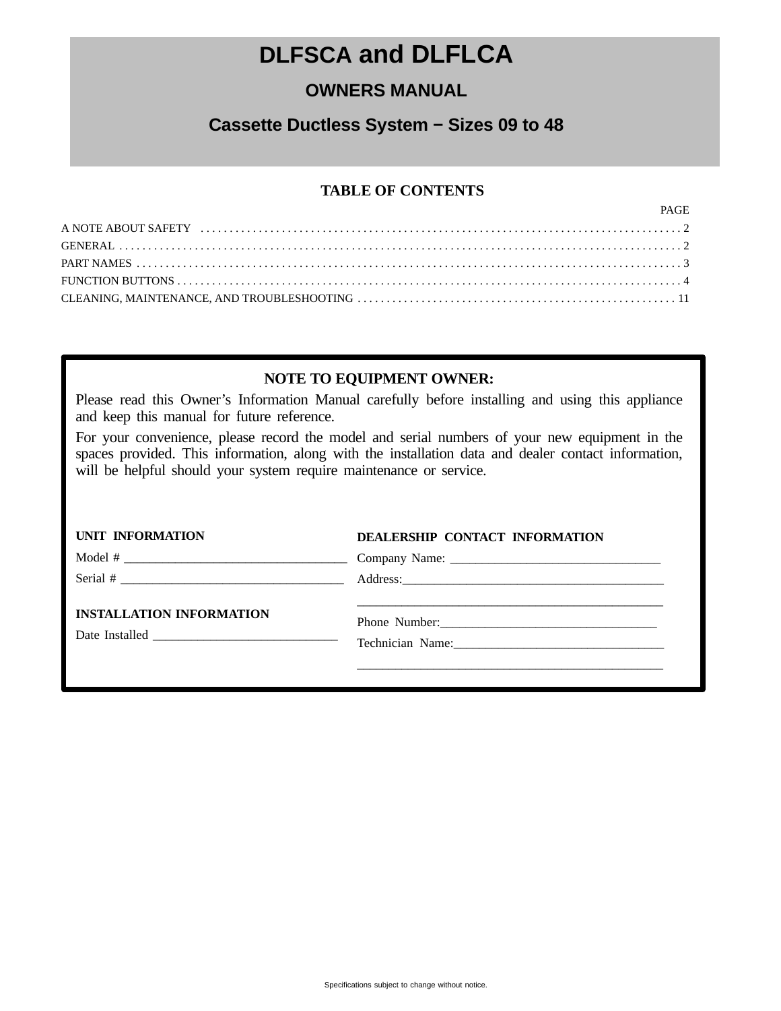## **DLFSCA and DLFLCA**

## **OWNERS MANUAL**

## **Cassette Ductless System − Sizes 09 to 48**

### **TABLE OF CONTENTS**

| PAGE |
|------|
|      |
|      |
|      |
|      |
|      |

### **NOTE TO EQUIPMENT OWNER:**

Please read this Owner's Information Manual carefully before installing and using this appliance and keep this manual for future reference.

For your convenience, please record the model and serial numbers of your new equipment in the spaces provided. This information, along with the installation data and dealer contact information, will be helpful should your system require maintenance or service.

| <b>UNIT INFORMATION</b>         | DEALERSHIP CONTACT INFORMATION                                                                                  |
|---------------------------------|-----------------------------------------------------------------------------------------------------------------|
|                                 |                                                                                                                 |
|                                 |                                                                                                                 |
| <b>INSTALLATION INFORMATION</b> | Technician Name: 2008 Manual Manual Manual Manual Manual Manual Manual Manual Manual Manual Manual Manual Manua |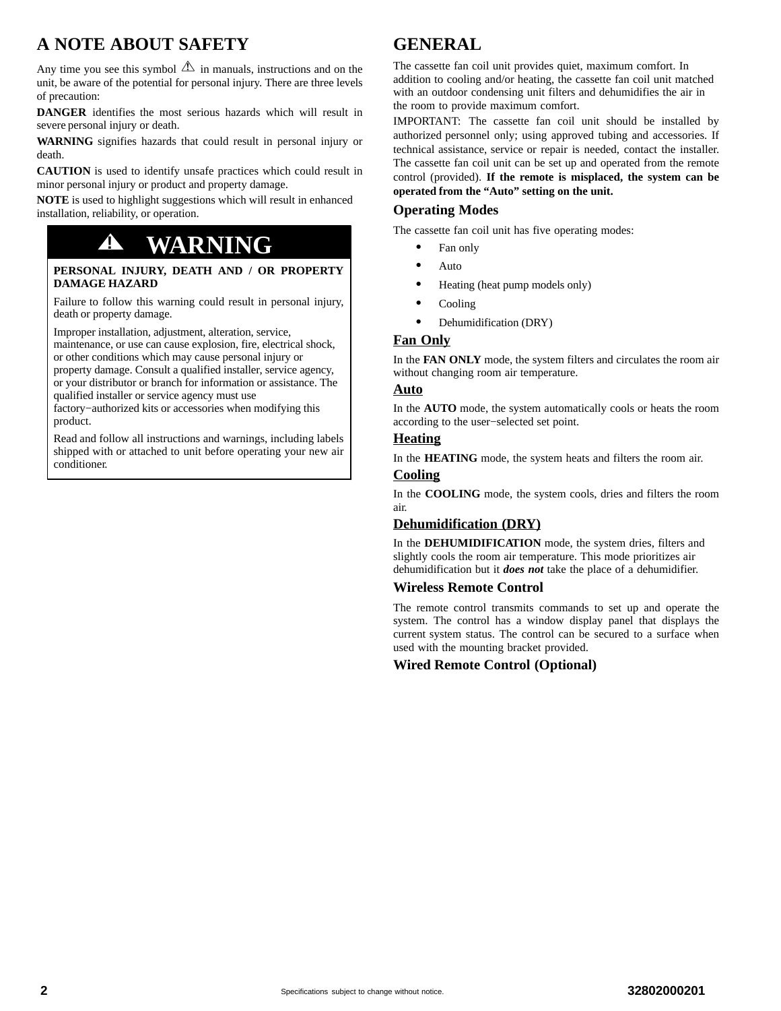## <span id="page-1-0"></span>**A NOTE ABOUT SAFETY**

Any time you see this symbol  $\Delta$  in manuals, instructions and on the unit, be aware of the potential for personal injury. There are three levels of precaution:

**DANGER** identifies the most serious hazards which will result in severe personal injury or death.

**WARNING** signifies hazards that could result in personal injury or death.

**CAUTION** is used to identify unsafe practices which could result in minor personal injury or product and property damage.

**NOTE** is used to highlight suggestions which will result in enhanced installation, reliability, or operation.

## **! WARNING**

#### **PERSONAL INJURY, DEATH AND / OR PROPERTY DAMAGE HAZARD**

Failure to follow this warning could result in personal injury, death or property damage.

Improper installation, adjustment, alteration, service, maintenance, or use can cause explosion, fire, electrical shock, or other conditions which may cause personal injury or

property damage. Consult a qualified installer, service agency, or your distributor or branch for information or assistance. The qualified installer or service agency must use

factory−authorized kits or accessories when modifying this product.

Read and follow all instructions and warnings, including labels shipped with or attached to unit before operating your new air conditioner.

## **GENERAL**

The cassette fan coil unit provides quiet, maximum comfort. In addition to cooling and/or heating, the cassette fan coil unit matched with an outdoor condensing unit filters and dehumidifies the air in the room to provide maximum comfort.

IMPORTANT: The cassette fan coil unit should be installed by authorized personnel only; using approved tubing and accessories. If technical assistance, service or repair is needed, contact the installer. The cassette fan coil unit can be set up and operated from the remote control (provided). **If the remote is misplaced, the system can be operated from the "Auto" setting on the unit.**

#### **Operating Modes**

The cassette fan coil unit has five operating modes:

- $\bullet$ Fan only
- $\bullet$ Auto
- -Heating (heat pump models only)
- $\bullet$ Cooling
- $\bullet$ Dehumidification (DRY)

#### **Fan Only**

In the **FAN ONLY** mode, the system filters and circulates the room air without changing room air temperature.

#### **Auto**

In the **AUTO** mode, the system automatically cools or heats the room according to the user−selected set point.

#### **Heating**

In the **HEATING** mode, the system heats and filters the room air.

#### **Cooling**

In the **COOLING** mode, the system cools, dries and filters the room air.

#### **Dehumidification (DRY)**

In the **DEHUMIDIFICATION** mode, the system dries, filters and slightly cools the room air temperature. This mode prioritizes air dehumidification but it *does not* take the place of a dehumidifier.

#### **Wireless Remote Control**

The remote control transmits commands to set up and operate the system. The control has a window display panel that displays the current system status. The control can be secured to a surface when used with the mounting bracket provided.

#### **Wired Remote Control (Optional)**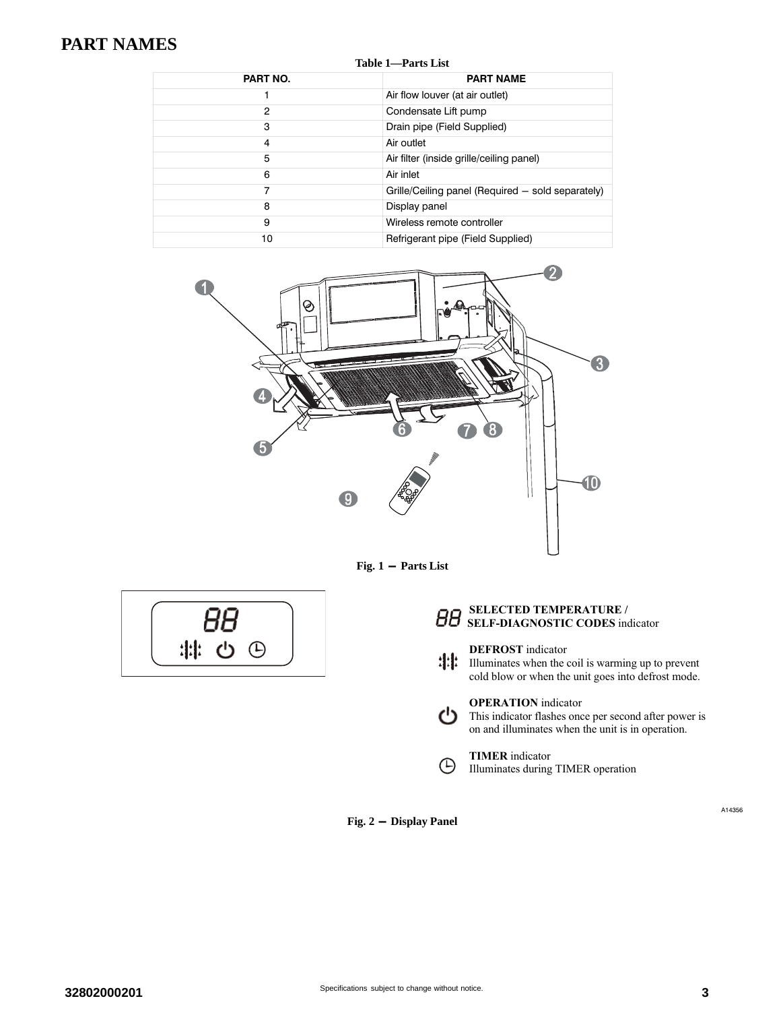## <span id="page-2-0"></span>**PART NAMES**

| Table 1—Parts List |                                                   |  |  |  |
|--------------------|---------------------------------------------------|--|--|--|
| PART NO.           | <b>PART NAME</b>                                  |  |  |  |
|                    | Air flow louver (at air outlet)                   |  |  |  |
| 2                  | Condensate Lift pump                              |  |  |  |
| 3                  | Drain pipe (Field Supplied)                       |  |  |  |
| 4                  | Air outlet                                        |  |  |  |
| 5                  | Air filter (inside grille/ceiling panel)          |  |  |  |
| 6                  | Air inlet                                         |  |  |  |
| 7                  | Grille/Ceiling panel (Required – sold separately) |  |  |  |
| 8                  | Display panel                                     |  |  |  |
| 9                  | Wireless remote controller                        |  |  |  |
| 10                 | Refrigerant pipe (Field Supplied)                 |  |  |  |



**Fig. 1 - Parts List**



#### **SELECTED TEMPERATURE / SELF-DIAGNOSTIC CODES** indicator

#### **DEFROST** indicator

Illuminates when the coil is warming up to prevent cold blow or when the unit goes into defrost mode.

#### **OPERATION** indicator

This indicator flashes once per second after power is on and illuminates when the unit is in operation.

#### **TIMER** indicator  $\bigoplus$ Illuminates during TIMER operation

**Fig. 2 - Display Panel**

ථ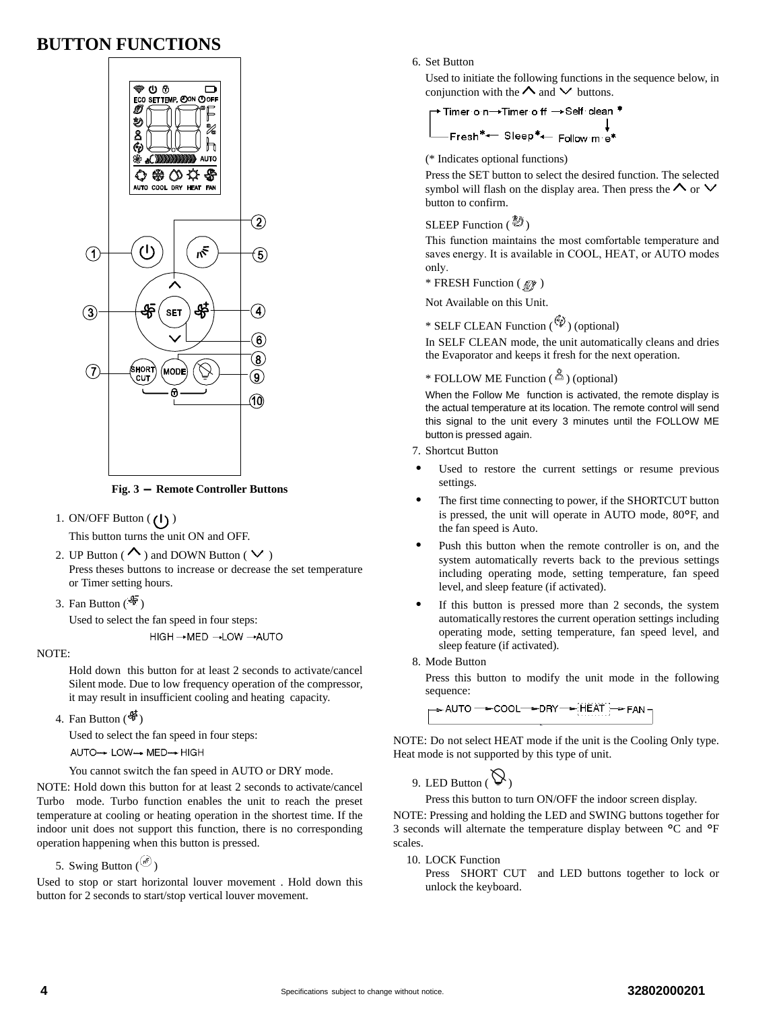### <span id="page-3-0"></span>**BUTTON FUNCTIONS**



**Fig. 3 - Remote Controller Buttons**

1. ON/OFF Button  $(1)$ )

This button turns the unit ON and OFF.

- 2. UP Button ( $\sim$ ) and DOWN Button ( $\vee$ ) Press theses buttons to increase or decrease the set temperature or Timer setting hours.
- 3. Fan Button  $(\frac{4}{3})$

Used to select the fan speed in four steps: HIGH → MED → LOW → AUTO

NOTE:

Hold down this button for at least 2 seconds to activate/cancel Silent mode. Due to low frequency operation of the compressor, it may result in insufficient cooling and heating capacity.

4. Fan Button  $(\frac{45}{9})$ 

Used to select the fan speed in four steps: AUTO→ LOW→ MED→ HIGH

You cannot switch the fan speed in AUTO or DRY mode.

NOTE: Hold down this button for at least 2 seconds to activate/cancel Turbo mode. Turbo function enables the unit to reach the preset temperature at cooling or heating operation in the shortest time. If the indoor unit does not support this function, there is no corresponding operation happening when this button is pressed.

5. Swing Button  $\binom{65}{ }$ 

Used to stop or start horizontal louver movement . Hold down this button for 2 seconds to start/stop vertical louver movement.

#### 6. Set Button

Used to initiate the following functions in the sequence below, in conjunction with the  $\Lambda$  and  $\vee$  buttons.

(\* Indicates optional functions)

Press the SET button to select the desired function. The selected symbol will flash on the display area. Then press the  $\Lambda$  or  $\vee$ button to confirm.

#### SLEEP Function  $(\bigotimes^{\mathcal{B}})$

This function maintains the most comfortable temperature and saves energy. It is available in COOL, HEAT, or AUTO modes only.

 $*$  FRESH Function  $(\mathscr{M})$ 

Not Available on this Unit.

\* SELF CLEAN Function  $(\mathscr{P})$  (optional)

In SELF CLEAN mode, the unit automatically cleans and dries the Evaporator and keeps it fresh for the next operation.

#### \* FOLLOW ME Function ( $\overset{\times}{\triangle}$ ) (optional)

When the Follow Me function is activated, the remote display is the actual temperature at its location. The remote control will send this signal to the unit every 3 minutes until the FOLLOW ME button is pressed again.

- 7. Shortcut Button
- - Used to restore the current settings or resume previous settings.
- - The first time connecting to power, if the SHORTCUT button is pressed, the unit will operate in AUTO mode, 80°F, and the fan speed is Auto.
- - Push this button when the remote controller is on, and the system automatically reverts back to the previous settings including operating mode, setting temperature, fan speed level, and sleep feature (if activated).
- - If this button is pressed more than 2 seconds, the system automatically restores the current operation settings including operating mode, setting temperature, fan speed level, and sleep feature (if activated).
- 8. Mode Button

Press this button to modify the unit mode in the following sequence:

→ AUTO ─<del>→</del> COOL─<del>→</del> DRY ─<del>→</del> HEAT }─<del>→</del> FAN ¬

NOTE: Do not select HEAT mode if the unit is the Cooling Only type. Heat mode is not supported by this type of unit.

9. LED Button  $(\bigvee)$ 

Press this button to turn ON/OFF the indoor screen display.

NOTE: Pressing and holding the LED and SWING buttons together for 3 seconds will alternate the temperature display between °C and °<sup>F</sup> scales.

10. LOCK Function

Press SHORT CUT and LED buttons together to lock or unlock the keyboard.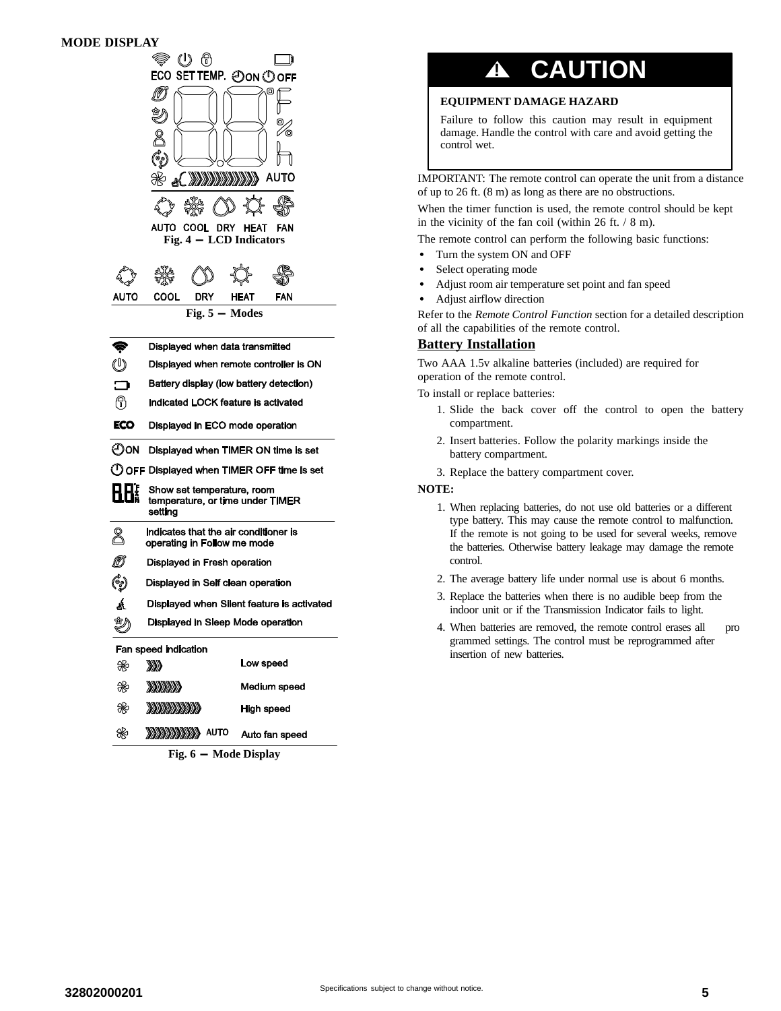| DISPLAY |                                             |                                            |  |  |  |
|---------|---------------------------------------------|--------------------------------------------|--|--|--|
|         | U                                           |                                            |  |  |  |
|         | ECO SET TEMP. ⑦ON ① OFF                     |                                            |  |  |  |
|         |                                             | ο                                          |  |  |  |
|         |                                             |                                            |  |  |  |
|         |                                             |                                            |  |  |  |
|         |                                             |                                            |  |  |  |
|         |                                             |                                            |  |  |  |
|         | ∛م                                          | <b>A RADAR DE LA PARTIE DE</b><br>AUTO     |  |  |  |
|         |                                             |                                            |  |  |  |
|         | AUTO COOL I<br><b>DRY</b>                   | FAN<br>HEAT                                |  |  |  |
|         | Fig. $4 - LCD$ Indicators                   |                                            |  |  |  |
|         |                                             |                                            |  |  |  |
|         |                                             |                                            |  |  |  |
| AUTO    | COOL<br>DRY                                 | HEAT<br>FAN                                |  |  |  |
|         | Fig. $5 -$ Modes                            |                                            |  |  |  |
|         |                                             |                                            |  |  |  |
| Ç       | Displayed when data transmitted             |                                            |  |  |  |
| U       |                                             | Displayed when remote controller is ON     |  |  |  |
| $\Box$  | Battery display (low battery detection)     |                                            |  |  |  |
| டு      | Indicated LOCK feature is activated         |                                            |  |  |  |
| ECO     | Displayed in ECO mode operation             |                                            |  |  |  |
| ЮON     |                                             | Displayed when TIMER ON time is set        |  |  |  |
|         |                                             | OFF Displayed when TIMER OFF time is set   |  |  |  |
|         | Show set temperature, room                  |                                            |  |  |  |
|         | temperature, or time under TIMER<br>setting |                                            |  |  |  |
|         | Indicates that the air conditioner is       |                                            |  |  |  |
| 8       | operating in Follow me mode                 |                                            |  |  |  |
|         | Displayed in Fresh operation                |                                            |  |  |  |
| ం       | Displayed in Self clean operation           |                                            |  |  |  |
| Á       |                                             | Displayed when Silent feature is activated |  |  |  |
|         | Displayed in Sleep Mode operation           |                                            |  |  |  |
|         | Fan speed indication                        |                                            |  |  |  |
| ₩       | ⋙                                           | Low speed                                  |  |  |  |
| ₩       | <b><i>DDDDDDD</i></b>                       | Medium speed                               |  |  |  |
| ₩       | <b><i>BARBARARAS</i></b>                    | High speed                                 |  |  |  |
| ₩       | <b>EXAMPLE AUTO</b>                         | Auto fan speed                             |  |  |  |

**Fig. 6 - Mode Display**

# **! CAUTION**

#### **EQUIPMENT DAMAGE HAZARD**

Failure to follow this caution may result in equipment damage. Handle the control with care and avoid getting the control wet.

IMPORTANT: The remote control can operate the unit from a distance of up to 26 ft. (8 m) as long as there are no obstructions.

When the timer function is used, the remote control should be kept in the vicinity of the fan coil (within 26 ft. / 8 m).

The remote control can perform the following basic functions:

- Turn the system ON and OFF
- -Select operating mode
- -Adjust room air temperature set point and fan speed
- -Adjust airflow direction

Refer to the *Remote Control Function* section for a detailed description of all the capabilities of the remote control.

### **Battery Installation**

Two AAA 1.5v alkaline batteries (included) are required for operation of the remote control.

To install or replace batteries:

- 1. Slide the back cover off the control to open the battery compartment.
- 2. Insert batteries. Follow the polarity markings inside the battery compartment.
- 3. Replace the battery compartment cover.

#### **NOTE:**

-

- 1. When replacing batteries, do not use old batteries or a different type battery. This may cause the remote control to malfunction. If the remote is not going to be used for several weeks, remove the batteries. Otherwise battery leakage may damage the remote control.
- 2. The average battery life under normal use is about 6 months.
- 3. Replace the batteries when there is no audible beep from the indoor unit or if the Transmission Indicator fails to light.
- 4. When batteries are removed, the remote control erases all pro grammed settings. The control must be reprogrammed after insertion of new batteries.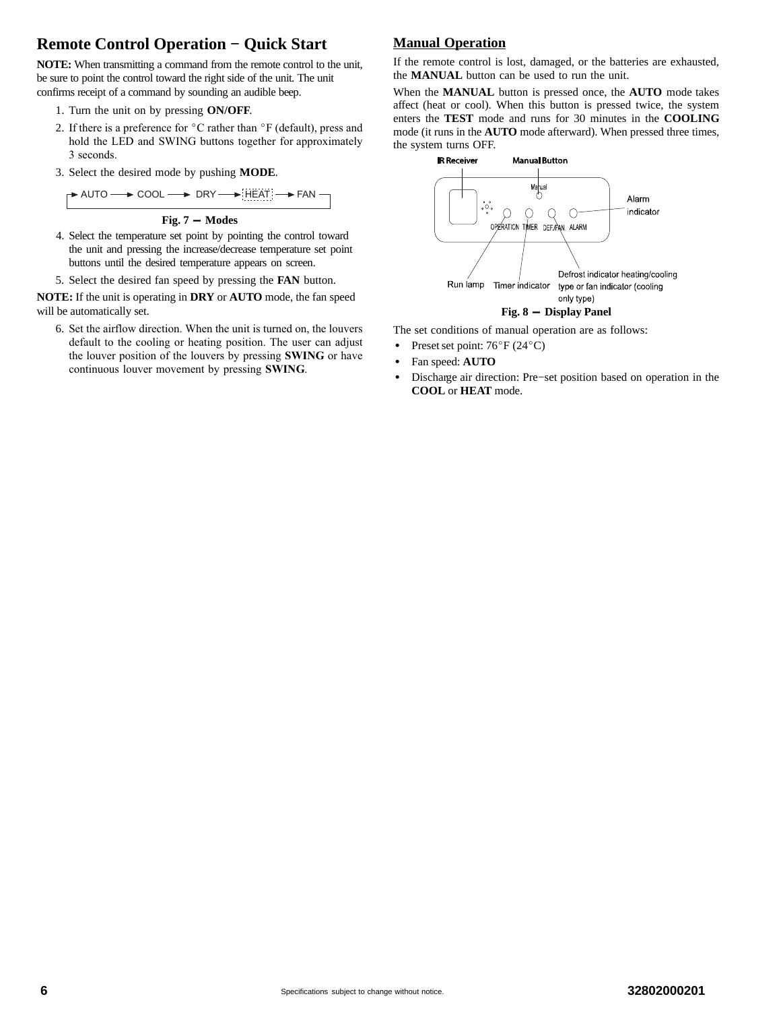### **Remote Control Operation − Quick Start**

**NOTE:** When transmitting a command from the remote control to the unit, be sure to point the control toward the right side of the unit. The unit confirms receipt of a command by sounding an audible beep.

- 1. Turn the unit on by pressing **ON/OFF**.
- 2. If there is a preference for  $\mathrm{^{\circ}C}$  rather than  $\mathrm{^{\circ}F}$  (default), press and hold the LED and SWING buttons together for approximately 3 seconds.
- 3. Select the desired mode by pushing **MODE**.

$$
\begin{array}{|c|c|c|c|c|}\hline \text{\bf AUTO} & \text{\bf \texttt{OOOL}} & \text{\bf \texttt{DRY}} & \text{\bf \texttt{DRY}}\\ \hline \end{array}
$$

**Fig. 7 - Modes**

4. Select the temperature set point by pointing the control toward the unit and pressing the increase/decrease temperature set point buttons until the desired temperature appears on screen.

5. Select the desired fan speed by pressing the **FAN** button.

**NOTE:** If the unit is operating in **DRY** or **AUTO** mode, the fan speed will be automatically set.

6. Set the airflow direction. When the unit is turned on, the louvers default to the cooling or heating position. The user can adjust the louver position of the louvers by pressing **SWING** or have continuous louver movement by pressing **SWING**.

#### **Manual Operation**

If the remote control is lost, damaged, or the batteries are exhausted, the **MANUAL** button can be used to run the unit.

When the **MANUAL** button is pressed once, the **AUTO** mode takes affect (heat or cool). When this button is pressed twice, the system enters the **TEST** mode and runs for 30 minutes in the **COOLING** mode (it runs in the **AUTO** mode afterward). When pressed three times, the system turns OFF.



The set conditions of manual operation are as follows:

- Preset set point:  $76^{\circ}$ F (24 $^{\circ}$ C)
- -Fan speed: **AUTO**
- - Discharge air direction: Pre−set position based on operation in the **COOL** or **HEAT** mode.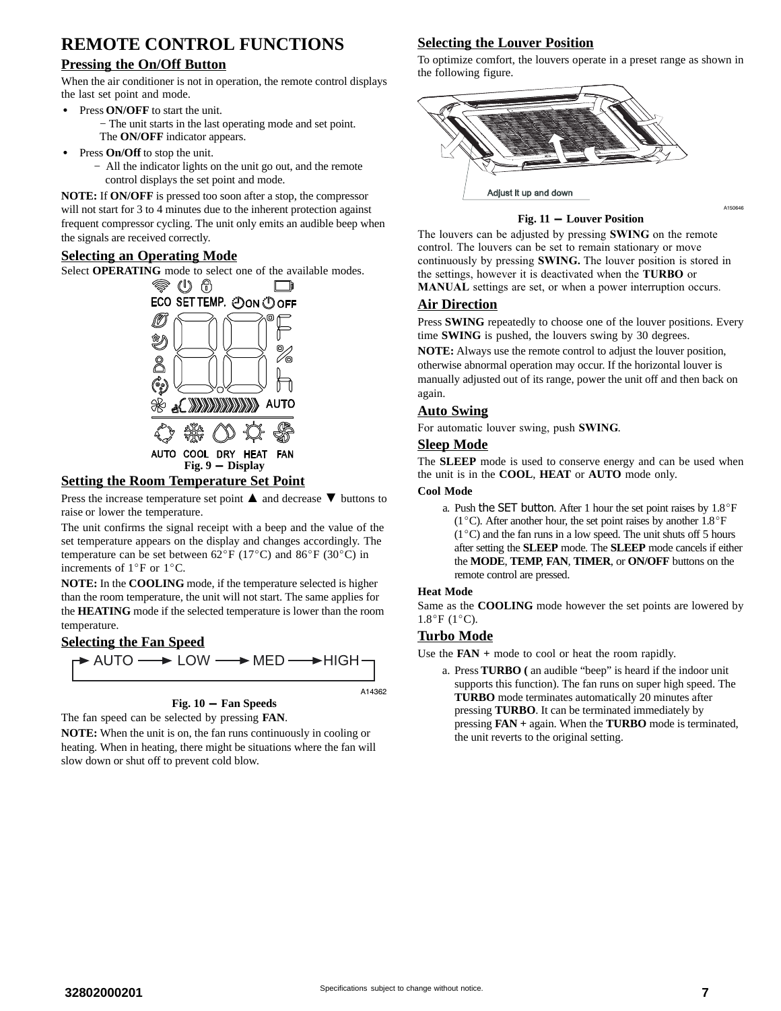## **REMOTE CONTROL FUNCTIONS**

#### **Pressing the On/Off Button**

When the air conditioner is not in operation, the remote control displays the last set point and mode.

- $\bullet$  Press **ON/OFF** to start the unit.
	- − The unit starts in the last operating mode and set point. The **ON/OFF** indicator appears.
- - Press **On/Off** to stop the unit.
	- − All the indicator lights on the unit go out, and the remote control displays the set point and mode.

**NOTE:** If **ON/OFF** is pressed too soon after a stop, the compressor will not start for 3 to 4 minutes due to the inherent protection against frequent compressor cycling. The unit only emits an audible beep when the signals are received correctly.

#### **Selecting an Operating Mode**

Select **OPERATING** mode to select one of the available modes.



#### **Setting the Room Temperature Set Point**

Press the increase temperature set point ▲ and decrease ▼ buttons to raise or lower the temperature.

The unit confirms the signal receipt with a beep and the value of the set temperature appears on the display and changes accordingly. The temperature can be set between  $62^{\circ}F (17^{\circ}C)$  and  $86^{\circ}F (30^{\circ}C)$  in increments of  $1^{\circ}$ F or  $1^{\circ}$ C.

**NOTE:** In the **COOLING** mode, if the temperature selected is higher than the room temperature, the unit will not start. The same applies for the **HEATING** mode if the selected temperature is lower than the room temperature.

#### **Selecting the Fan Speed**



#### **Fig. 10 - Fan Speeds**

The fan speed can be selected by pressing **FAN**.

**NOTE:** When the unit is on, the fan runs continuously in cooling or heating. When in heating, there might be situations where the fan will slow down or shut off to prevent cold blow.

#### **Selecting the Louver Position**

To optimize comfort, the louvers operate in a preset range as shown in the following figure.



#### **Fig. 11 - Louver Position**

A150646

The louvers can be adjusted by pressing **SWING** on the remote control. The louvers can be set to remain stationary or move continuously by pressing **SWING.** The louver position is stored in the settings, however it is deactivated when the **TURBO** or **MANUAL** settings are set, or when a power interruption occurs.

#### **Air Direction**

Press **SWING** repeatedly to choose one of the louver positions. Every time **SWING** is pushed, the louvers swing by 30 degrees.

**NOTE:** Always use the remote control to adjust the louver position, otherwise abnormal operation may occur. If the horizontal louver is manually adjusted out of its range, power the unit off and then back on again.

#### **Auto Swing**

For automatic louver swing, push **SWING**.

#### **Sleep Mode**

The **SLEEP** mode is used to conserve energy and can be used when the unit is in the **COOL**, **HEAT** or **AUTO** mode only.

#### **Cool Mode**

a. Push the SET button. After 1 hour the set point raises by  $1.8^{\circ}$ F (1 $^{\circ}$ C). After another hour, the set point raises by another 1.8 $^{\circ}$ F  $(1^{\circ}C)$  and the fan runs in a low speed. The unit shuts off 5 hours after setting the **SLEEP** mode. The **SLEEP** mode cancels if either the **MODE**, **TEMP**, **FAN**, **TIMER**, or **ON/OFF** buttons on the remote control are pressed.

#### **Heat Mode**

Same as the **COOLING** mode however the set points are lowered by  $1.8^{\circ}$ F (1<sup>o</sup>C).

#### **Turbo Mode**

Use the **FAN +** mode to cool or heat the room rapidly.

a. Press **TURBO (** an audible "beep" is heard if the indoor unit supports this function). The fan runs on super high speed. The **TURBO** mode terminates automatically 20 minutes after pressing **TURBO**. It can be terminated immediately by pressing **FAN +** again. When the **TURBO** mode is terminated, the unit reverts to the original setting.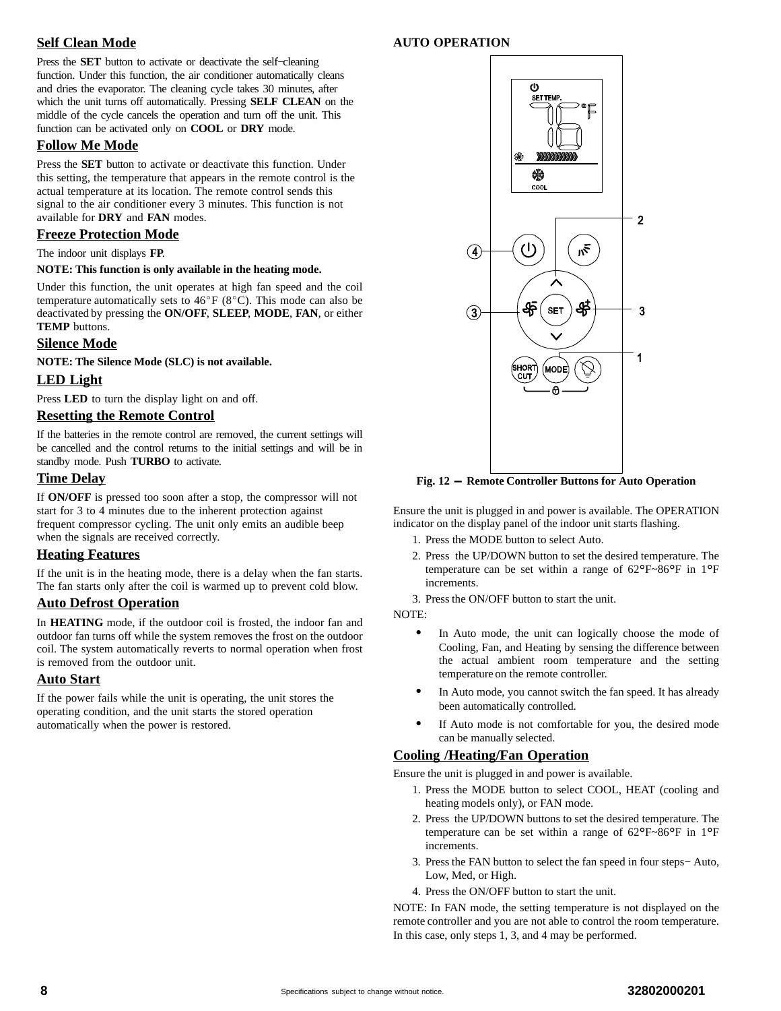#### **Self Clean Mode**

Press the **SET** button to activate or deactivate the self−cleaning function. Under this function, the air conditioner automatically cleans and dries the evaporator. The cleaning cycle takes 30 minutes, after which the unit turns off automatically. Pressing **SELF CLEAN** on the middle of the cycle cancels the operation and turn off the unit. This function can be activated only on **COOL** or **DRY** mode.

#### **Follow Me Mode**

Press the **SET** button to activate or deactivate this function. Under this setting, the temperature that appears in the remote control is the actual temperature at its location. The remote control sends this signal to the air conditioner every 3 minutes. This function is not available for **DRY** and **FAN** modes.

#### **Freeze Protection Mode**

The indoor unit displays **FP**.

#### **NOTE: This function is only available in the heating mode.**

Under this function, the unit operates at high fan speed and the coil temperature automatically sets to  $46^{\circ}F (8^{\circ}C)$ . This mode can also be deactivated by pressing the **ON/OFF**, **SLEEP**, **MODE**, **FAN**, or either **TEMP** buttons.

#### **Silence Mode**

**NOTE: The Silence Mode (SLC) is not available.**

#### **LED Light**

Press **LED** to turn the display light on and off.

#### **Resetting the Remote Control**

If the batteries in the remote control are removed, the current settings will be cancelled and the control returns to the initial settings and will be in standby mode. Push **TURBO** to activate.

#### **Time Delay**

If **ON/OFF** is pressed too soon after a stop, the compressor will not start for 3 to 4 minutes due to the inherent protection against frequent compressor cycling. The unit only emits an audible beep when the signals are received correctly.

#### **Heating Features**

If the unit is in the heating mode, there is a delay when the fan starts. The fan starts only after the coil is warmed up to prevent cold blow.

#### **Auto Defrost Operation**

In **HEATING** mode, if the outdoor coil is frosted, the indoor fan and outdoor fan turns off while the system removes the frost on the outdoor coil. The system automatically reverts to normal operation when frost is removed from the outdoor unit.

#### **Auto Start**

If the power fails while the unit is operating, the unit stores the operating condition, and the unit starts the stored operation automatically when the power is restored.

#### **AUTO OPERATION**



**Fig. 12 - Remote Controller Buttons for Auto Operation**

Ensure the unit is plugged in and power is available. The OPERATION indicator on the display panel of the indoor unit starts flashing.

- 1. Press the MODE button to select Auto.
- 2. Press the UP/DOWN button to set the desired temperature. The temperature can be set within a range of 62°F~86°F in 1°<sup>F</sup> increments.

3. Press the ON/OFF button to start the unit.

NOTE:

- - In Auto mode, the unit can logically choose the mode of Cooling, Fan, and Heating by sensing the difference between the actual ambient room temperature and the setting temperature on the remote controller.
- - In Auto mode, you cannot switch the fan speed. It has already been automatically controlled.
- - If Auto mode is not comfortable for you, the desired mode can be manually selected.

#### **Cooling /Heating/Fan Operation**

Ensure the unit is plugged in and power is available.

- 1. Press the MODE button to select COOL, HEAT (cooling and heating models only), or FAN mode.
- 2. Press the UP/DOWN buttons to set the desired temperature. The temperature can be set within a range of 62°F~86°F in 1°<sup>F</sup> increments.
- 3. Press the FAN button to select the fan speed in four steps− Auto, Low, Med, or High.
- 4. Press the ON/OFF button to start the unit.

NOTE: In FAN mode, the setting temperature is not displayed on the remote controller and you are not able to control the room temperature. In this case, only steps 1, 3, and 4 may be performed.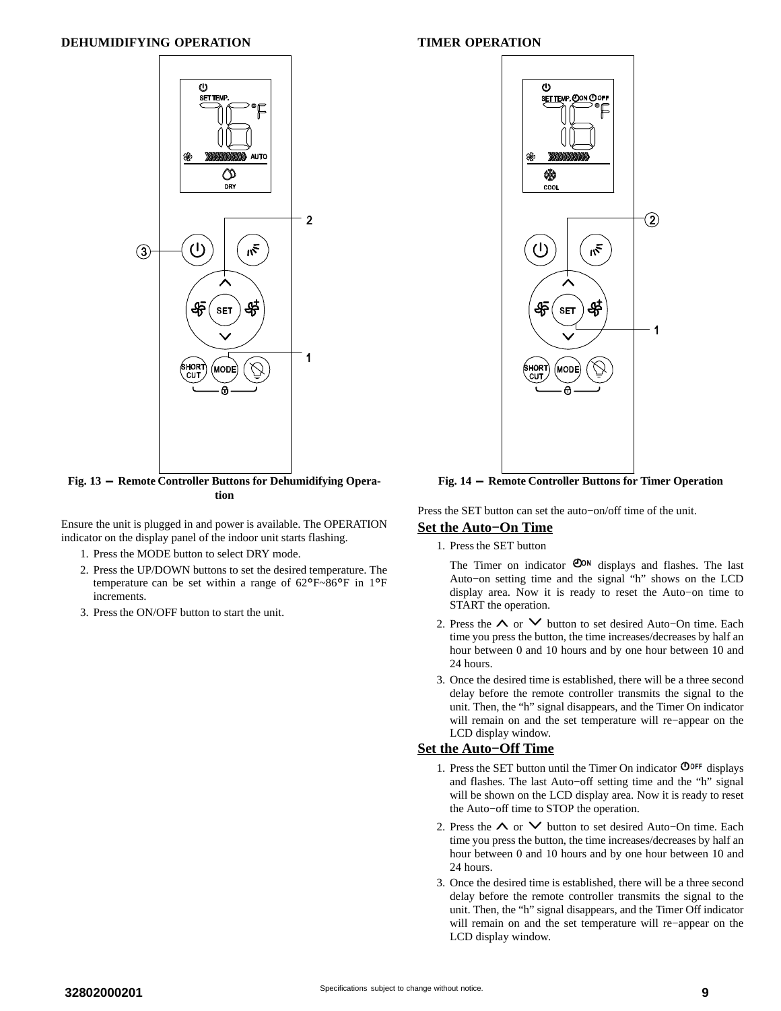

**Fig. 13 - Remote Controller Buttons for Dehumidifying Operation**

Ensure the unit is plugged in and power is available. The OPERATION indicator on the display panel of the indoor unit starts flashing.

- 1. Press the MODE button to select DRY mode.
- 2. Press the UP/DOWN buttons to set the desired temperature. The temperature can be set within a range of 62°F~86°F in 1°<sup>F</sup> increments.
- 3. Press the ON/OFF button to start the unit.

#### **TIMER OPERATION**



**Fig. 14 - Remote Controller Buttons for Timer Operation**

Press the SET button can set the auto−on/off time of the unit.

#### **Set the Auto−On Time**

1. Press the SET button

The Timer on indicator  $\mathbf{O}^{on}$  displays and flashes. The last Auto−on setting time and the signal "h" shows on the LCD display area. Now it is ready to reset the Auto−on time to START the operation.

- 2. Press the ∧ or ∨ button to set desired Auto–On time. Each time you press the button, the time increases/decreases by half an hour between 0 and 10 hours and by one hour between 10 and 24 hours.
- 3. Once the desired time is established, there will be a three second delay before the remote controller transmits the signal to the unit. Then, the "h" signal disappears, and the Timer On indicator will remain on and the set temperature will re−appear on the LCD display window.

#### **Set the Auto−Off Time**

- 1. Press the SET button until the Timer On indicator  $\mathbf{O}^{\text{OFF}}$  displays and flashes. The last Auto−off setting time and the "h" signal will be shown on the LCD display area. Now it is ready to reset the Auto−off time to STOP the operation.
- 2. Press the ∧ or ∨ button to set desired Auto–On time. Each time you press the button, the time increases/decreases by half an hour between 0 and 10 hours and by one hour between 10 and 24 hours.
- 3. Once the desired time is established, there will be a three second delay before the remote controller transmits the signal to the unit. Then, the "h" signal disappears, and the Timer Off indicator will remain on and the set temperature will re−appear on the LCD display window.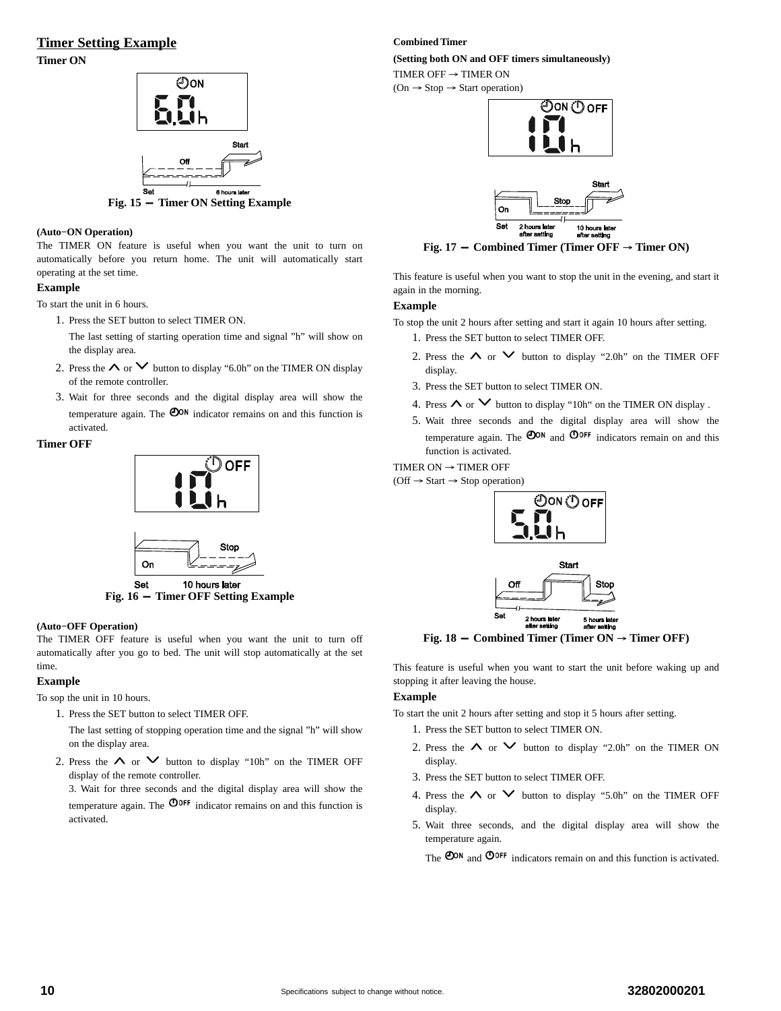#### **Timer Setting Example**

**Timer ON**



#### **(Auto−ON Operation)**

The TIMER ON feature is useful when you want the unit to turn on automatically before you return home. The unit will automatically start operating at the set time.

#### **Example**

To start the unit in 6 hours.

- 1. Press the SET button to select TIMER ON.
	- The last setting of starting operation time and signal "h" will show on the display area.
- 2. Press the  $\land$  or  $\lor$  button to display "6.0h" on the TIMER ON display of the remote controller.
- 3. Wait for three seconds and the digital display area will show the temperature again. The  $\mathbf{O}^{\mathsf{ON}}$  indicator remains on and this function is activated.

#### **Timer OFF**





**Fig. 16 - Timer OFF Setting Example**

#### **(Auto−OFF Operation)**

The TIMER OFF feature is useful when you want the unit to turn off automatically after you go to bed. The unit will stop automatically at the set time.

#### **Example**

To sop the unit in 10 hours.

1. Press the SET button to select TIMER OFF.

The last setting of stopping operation time and the signal "h" will show on the display area.

2. Press the  $\land$  or  $\lor$  button to display "10h" on the TIMER OFF display of the remote controller.

3. Wait for three seconds and the digital display area will show the temperature again. The  $\Phi$ <sup>OFF</sup> indicator remains on and this function is activated.

#### **Combined Timer**

**(Setting both ON and OFF timers simultaneously)**

TIMER OFF  $\rightarrow$  TIMER ON

 $(On \rightarrow Stop \rightarrow Start \ operation)$ 





 $\text{Fig. 17} - \text{Combined Time (Timer OFF} \rightarrow \text{Timer ON})$ 

This feature is useful when you want to stop the unit in the evening, and start it again in the morning.

#### **Example**

To stop the unit 2 hours after setting and start it again 10 hours after setting.

- 1. Press the SET button to select TIMER OFF.
- 2. Press the  $\land$  or  $\lor$  button to display "2.0h" on the TIMER OFF display.
- 3. Press the SET button to select TIMER ON.
- 4. Press  $\land$  or  $\lor$  button to display "10h" on the TIMER ON display .
- 5. Wait three seconds and the digital display area will show the temperature again. The  $\mathbf{O}^{OR}$  and  $\mathbf{O}^{OFF}$  indicators remain on and this function is activated.

TIMER ON  $\rightarrow$  TIMER OFF

 $(Off \rightarrow Start \rightarrow Stop operation)$ 



**Fig. 18** - **Combined Timer (Timer**  $ON \rightarrow$  **Timer OFF)** 

This feature is useful when you want to start the unit before waking up and stopping it after leaving the house.

#### **Example**

To start the unit 2 hours after setting and stop it 5 hours after setting.

- 1. Press the SET button to select TIMER ON.
- 2. Press the  $\land$  or  $\lor$  button to display "2.0h" on the TIMER ON display.
- 3. Press the SET button to select TIMER OFF.
- 4. Press the  $\land$  or  $\lor$  button to display "5.0h" on the TIMER OFF display.
- 5. Wait three seconds, and the digital display area will show the temperature again.

The  $\Phi$ <sup>on</sup> and  $\Phi$ <sup>orf</sup> indicators remain on and this function is activated.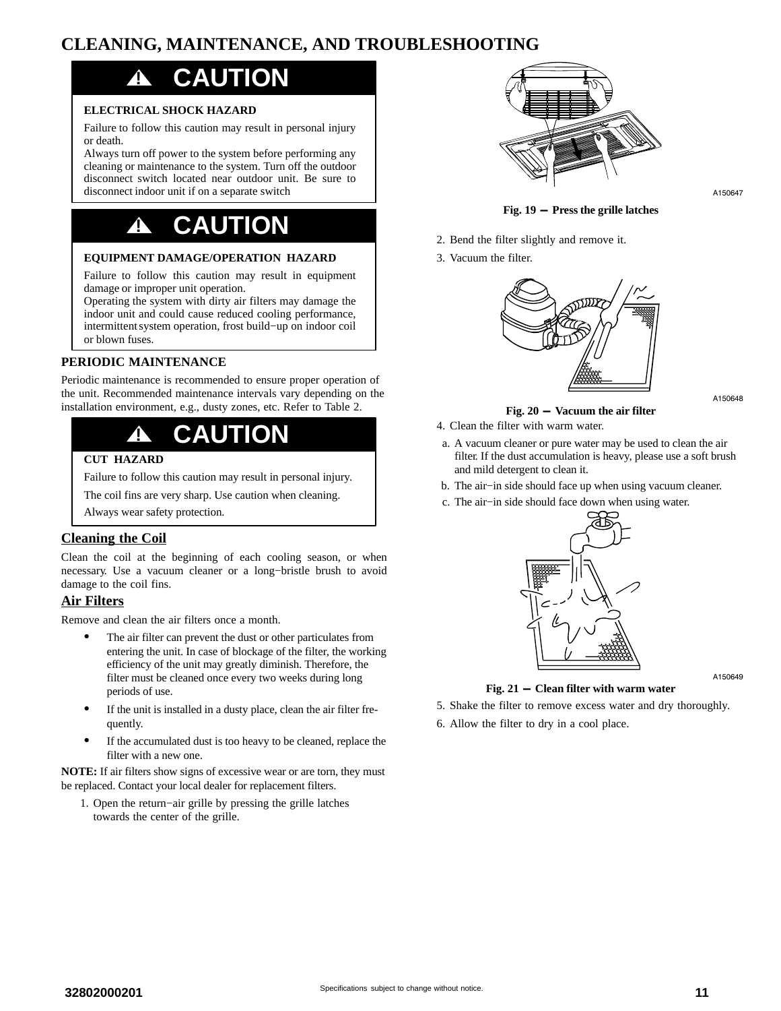## <span id="page-10-0"></span>**CLEANING, MAINTENANCE, AND TROUBLESHOOTING**

## **! CAUTION**

#### **ELECTRICAL SHOCK HAZARD**

Failure to follow this caution may result in personal injury or death.

Always turn off power to the system before performing any cleaning or maintenance to the system. Turn off the outdoor disconnect switch located near outdoor unit. Be sure to disconnect indoor unit if on a separate switch

## **! CAUTION**

#### **EQUIPMENT DAMAGE/OPERATION HAZARD**

Failure to follow this caution may result in equipment damage or improper unit operation.

Operating the system with dirty air filters may damage the indoor unit and could cause reduced cooling performance, intermittent system operation, frost build−up on indoor coil or blown fuses.

#### **PERIODIC MAINTENANCE**

Periodic maintenance is recommended to ensure proper operation of the unit. Recommended maintenance intervals vary depending on the installation environment, e.g., dusty zones, etc. Refer to Table [2.](#page-12-0)

## **! CAUTION**

#### **CUT HAZARD**

Failure to follow this caution may result in personal injury.

The coil fins are very sharp. Use caution when cleaning.

Always wear safety protection.

#### **Cleaning the Coil**

Clean the coil at the beginning of each cooling season, or when necessary. Use a vacuum cleaner or a long−bristle brush to avoid damage to the coil fins.

#### **Air Filters**

Remove and clean the air filters once a month.

- - The air filter can prevent the dust or other particulates from entering the unit. In case of blockage of the filter, the working efficiency of the unit may greatly diminish. Therefore, the filter must be cleaned once every two weeks during long periods of use.
- - If the unit is installed in a dusty place, clean the air filter frequently.
- - If the accumulated dust is too heavy to be cleaned, replace the filter with a new one.

**NOTE:** If air filters show signs of excessive wear or are torn, they must be replaced. Contact your local dealer for replacement filters.

1. Open the return−air grille by pressing the grille latches towards the center of the grille.



A150647

**Fig. 19 - Press the grille latches**

- 2. Bend the filter slightly and remove it.
- 3. Vacuum the filter.



A150648

#### **Fig. 20 - Vacuum the air filter**

- 4. Clean the filter with warm water.
- a. A vacuum cleaner or pure water may be used to clean the air filter. If the dust accumulation is heavy, please use a soft brush and mild detergent to clean it.
- b. The air−in side should face up when using vacuum cleaner.
- c. The air−in side should face down when using water.



A150649

#### **Fig. 21 - Clean filter with warm water**

- 5. Shake the filter to remove excess water and dry thoroughly.
- 6. Allow the filter to dry in a cool place.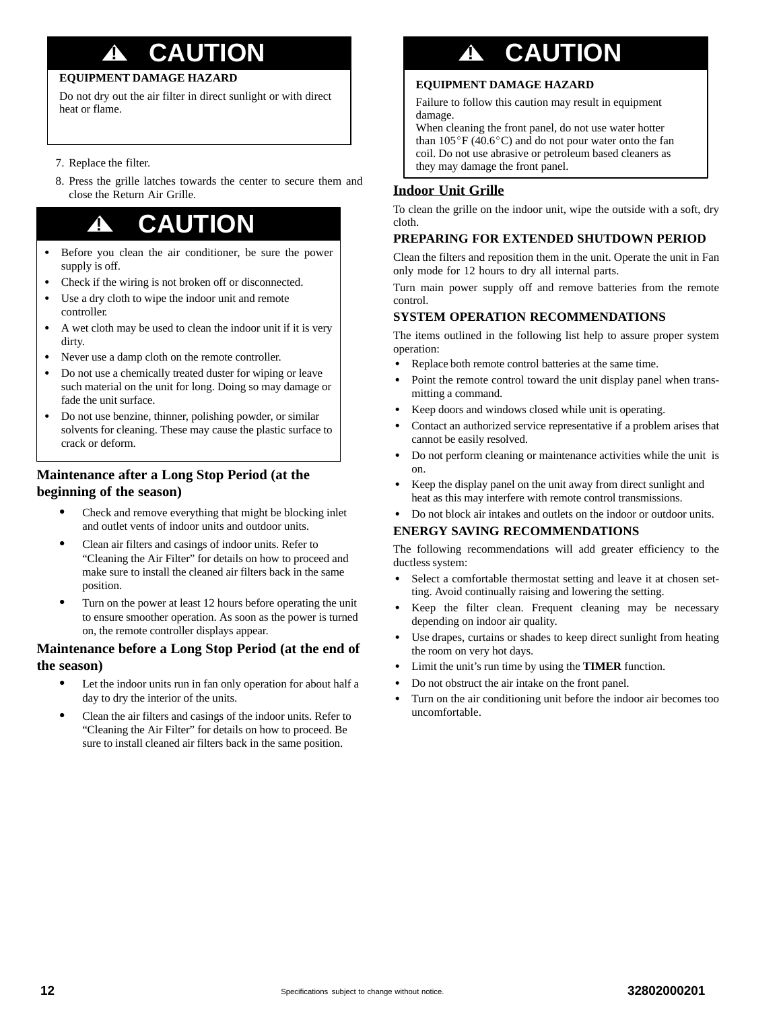## **! CAUTION**

#### **EQUIPMENT DAMAGE HAZARD**

Do not dry out the air filter in direct sunlight or with direct heat or flame.

- 7. Replace the filter.
- 8. Press the grille latches towards the center to secure them and close the Return Air Grille.

## **! CAUTION**

- - Before you clean the air conditioner, be sure the power supply is off.
- -Check if the wiring is not broken off or disconnected.
- $\bullet$  Use a dry cloth to wipe the indoor unit and remote controller.
- $\bullet$  A wet cloth may be used to clean the indoor unit if it is very dirty.
- -Never use a damp cloth on the remote controller.
- $\bullet$  Do not use a chemically treated duster for wiping or leave such material on the unit for long. Doing so may damage or fade the unit surface.
- $\bullet$  Do not use benzine, thinner, polishing powder, or similar solvents for cleaning. These may cause the plastic surface to crack or deform.

#### **Maintenance after a Long Stop Period (at the beginning of the season)**

- - Check and remove everything that might be blocking inlet and outlet vents of indoor units and outdoor units.
- - Clean air filters and casings of indoor units. Refer to "Cleaning the Air Filter" for details on how to proceed and make sure to install the cleaned air filters back in the same position.
- $\bullet$  Turn on the power at least 12 hours before operating the unit to ensure smoother operation. As soon as the power is turned on, the remote controller displays appear.

#### **Maintenance before a Long Stop Period (at the end of the season)**

- - Let the indoor units run in fan only operation for about half a day to dry the interior of the units.
- - Clean the air filters and casings of the indoor units. Refer to "Cleaning the Air Filter" for details on how to proceed. Be sure to install cleaned air filters back in the same position.

# **! CAUTION**

#### **EQUIPMENT DAMAGE HAZARD**

Failure to follow this caution may result in equipment damage.

When cleaning the front panel, do not use water hotter than  $105^{\circ}F(40.6^{\circ}C)$  and do not pour water onto the fan coil. Do not use abrasive or petroleum based cleaners as they may damage the front panel.

#### **Indoor Unit Grille**

To clean the grille on the indoor unit, wipe the outside with a soft, dry cloth.

#### **PREPARING FOR EXTENDED SHUTDOWN PERIOD**

Clean the filters and reposition them in the unit. Operate the unit in Fan only mode for 12 hours to dry all internal parts.

Turn main power supply off and remove batteries from the remote control.

#### **SYSTEM OPERATION RECOMMENDATIONS**

The items outlined in the following list help to assure proper system operation:

- -Replace both remote control batteries at the same time.
- - Point the remote control toward the unit display panel when transmitting a command.
- -Keep doors and windows closed while unit is operating.
- - Contact an authorized service representative if a problem arises that cannot be easily resolved.
- - Do not perform cleaning or maintenance activities while the unit is on.
- $\bullet$  Keep the display panel on the unit away from direct sunlight and heat as this may interfere with remote control transmissions.
- -Do not block air intakes and outlets on the indoor or outdoor units.

#### **ENERGY SAVING RECOMMENDATIONS**

The following recommendations will add greater efficiency to the ductless system:

- - Select a comfortable thermostat setting and leave it at chosen setting. Avoid continually raising and lowering the setting.
- - Keep the filter clean. Frequent cleaning may be necessary depending on indoor air quality.
- - Use drapes, curtains or shades to keep direct sunlight from heating the room on very hot days.
- -Limit the unit's run time by using the **TIMER** function.
- -Do not obstruct the air intake on the front panel.
- - Turn on the air conditioning unit before the indoor air becomes too uncomfortable.